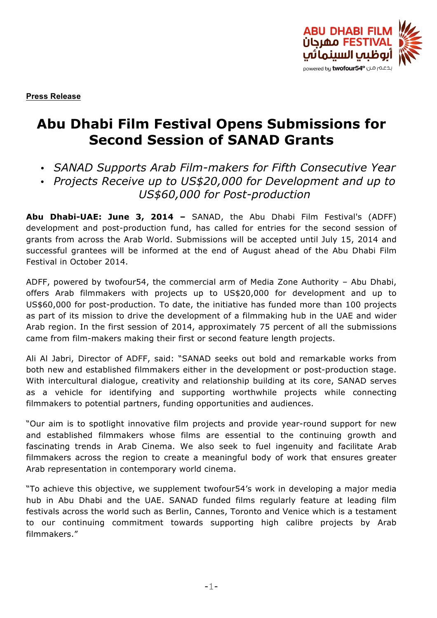

**Press Release**

# **Abu Dhabi Film Festival Opens Submissions for Second Session of SANAD Grants**

- *SANAD Supports Arab Film-makers for Fifth Consecutive Year*
- *Projects Receive up to US\$20,000 for Development and up to US\$60,000 for Post-production*

**Abu Dhabi-UAE: June 3, 2014 –** SANAD, the Abu Dhabi Film Festival's (ADFF) development and post-production fund, has called for entries for the second session of grants from across the Arab World. Submissions will be accepted until July 15, 2014 and successful grantees will be informed at the end of August ahead of the Abu Dhabi Film Festival in October 2014.

ADFF, powered by twofour54, the commercial arm of Media Zone Authority – Abu Dhabi, offers Arab filmmakers with projects up to US\$20,000 for development and up to US\$60,000 for post-production. To date, the initiative has funded more than 100 projects as part of its mission to drive the development of a filmmaking hub in the UAE and wider Arab region. In the first session of 2014, approximately 75 percent of all the submissions came from film-makers making their first or second feature length projects.

Ali Al Jabri, Director of ADFF, said: "SANAD seeks out bold and remarkable works from both new and established filmmakers either in the development or post-production stage. With intercultural dialogue, creativity and relationship building at its core, SANAD serves as a vehicle for identifying and supporting worthwhile projects while connecting filmmakers to potential partners, funding opportunities and audiences.

"Our aim is to spotlight innovative film projects and provide year-round support for new and established filmmakers whose films are essential to the continuing growth and fascinating trends in Arab Cinema. We also seek to fuel ingenuity and facilitate Arab filmmakers across the region to create a meaningful body of work that ensures greater Arab representation in contemporary world cinema.

"To achieve this objective, we supplement twofour54's work in developing a major media hub in Abu Dhabi and the UAE. SANAD funded films regularly feature at leading film festivals across the world such as Berlin, Cannes, Toronto and Venice which is a testament to our continuing commitment towards supporting high calibre projects by Arab filmmakers."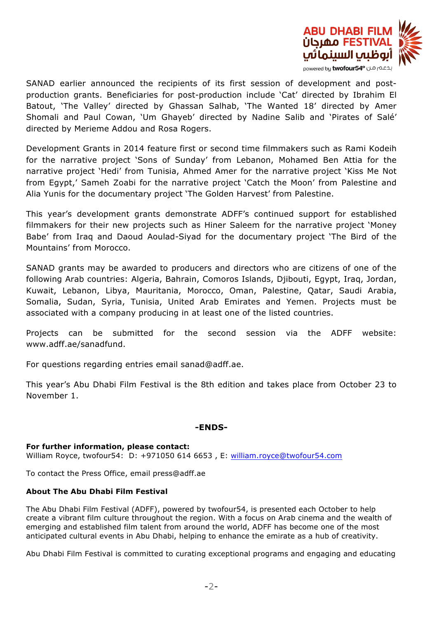

SANAD earlier announced the recipients of its first session of development and postproduction grants. Beneficiaries for post-production include 'Cat' directed by Ibrahim El Batout, 'The Valley' directed by Ghassan Salhab, 'The Wanted 18' directed by Amer Shomali and Paul Cowan, 'Um Ghayeb' directed by Nadine Salib and 'Pirates of Salé' directed by Merieme Addou and Rosa Rogers.

Development Grants in 2014 feature first or second time filmmakers such as Rami Kodeih for the narrative project 'Sons of Sunday' from Lebanon, Mohamed Ben Attia for the narrative project 'Hedi' from Tunisia, Ahmed Amer for the narrative project 'Kiss Me Not from Egypt,' Sameh Zoabi for the narrative project 'Catch the Moon' from Palestine and Alia Yunis for the documentary project 'The Golden Harvest' from Palestine.

This year's development grants demonstrate ADFF's continued support for established filmmakers for their new projects such as Hiner Saleem for the narrative project 'Money Babe' from Iraq and Daoud Aoulad-Siyad for the documentary project 'The Bird of the Mountains' from Morocco.

SANAD grants may be awarded to producers and directors who are citizens of one of the following Arab countries: Algeria, Bahrain, Comoros Islands, Djibouti, Egypt, Iraq, Jordan, Kuwait, Lebanon, Libya, Mauritania, Morocco, Oman, Palestine, Qatar, Saudi Arabia, Somalia, Sudan, Syria, Tunisia, United Arab Emirates and Yemen. Projects must be associated with a company producing in at least one of the listed countries.

Projects can be submitted for the second session via the ADFF website: www.adff.ae/sanadfund.

For questions regarding entries email sanad@adff.ae.

This year's Abu Dhabi Film Festival is the 8th edition and takes place from October 23 to November 1.

## **-ENDS-**

## **For further information, please contact:**

William Royce, twofour54: D: +971050 614 6653 , E: william.royce@twofour54.com

To contact the Press Office, email press@adff.ae

## **About The Abu Dhabi Film Festival**

The Abu Dhabi Film Festival (ADFF), powered by twofour54, is presented each October to help create a vibrant film culture throughout the region. With a focus on Arab cinema and the wealth of emerging and established film talent from around the world, ADFF has become one of the most anticipated cultural events in Abu Dhabi, helping to enhance the emirate as a hub of creativity.

Abu Dhabi Film Festival is committed to curating exceptional programs and engaging and educating